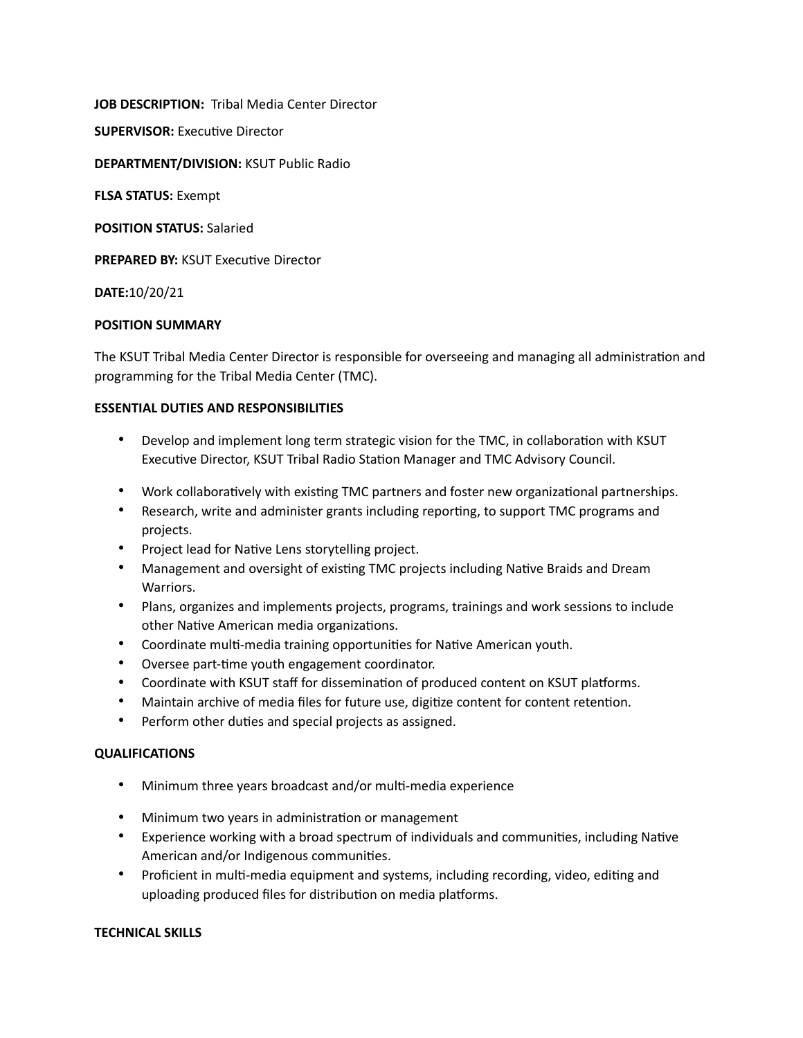**JOB DESCRIPTION:** Tribal Media Center Director

**SUPERVISOR:** Executive Director

**DEPARTMENT/DIVISION:** KSUT Public Radio

**FLSA STATUS:** Exempt

**POSITION STATUS:** Salaried

**PREPARED BY:** KSUT Executive Director

**DATE:**10/20/21

#### **POSITION SUMMARY**

The KSUT Tribal Media Center Director is responsible for overseeing and managing all administration and programming for the Tribal Media Center (TMC).

#### **ESSENTIAL DUTIES AND RESPONSIBILITIES**

- Develop and implement long term strategic vision for the TMC, in collaboration with KSUT Executive Director, KSUT Tribal Radio Station Manager and TMC Advisory Council.
- Work collaboratively with existing TMC partners and foster new organizational partnerships.
- Research, write and administer grants including reporting, to support TMC programs and projects.
- Project lead for Native Lens storytelling project.
- Management and oversight of existing TMC projects including Native Braids and Dream Warriors.
- Plans, organizes and implements projects, programs, trainings and work sessions to include other Native American media organizations.
- Coordinate multi-media training opportunities for Native American youth.
- Oversee part-time youth engagement coordinator.
- Coordinate with KSUT staff for dissemination of produced content on KSUT platforms.
- Maintain archive of media files for future use, digitize content for content retention.
- Perform other duties and special projects as assigned.

## **QUALIFICATIONS**

- Minimum three years broadcast and/or multi-media experience
- Minimum two years in administration or management
- Experience working with a broad spectrum of individuals and communities, including Native American and/or Indigenous communities.
- Proficient in multi-media equipment and systems, including recording, video, editing and uploading produced files for distribution on media platforms.

## **TECHNICAL SKILLS**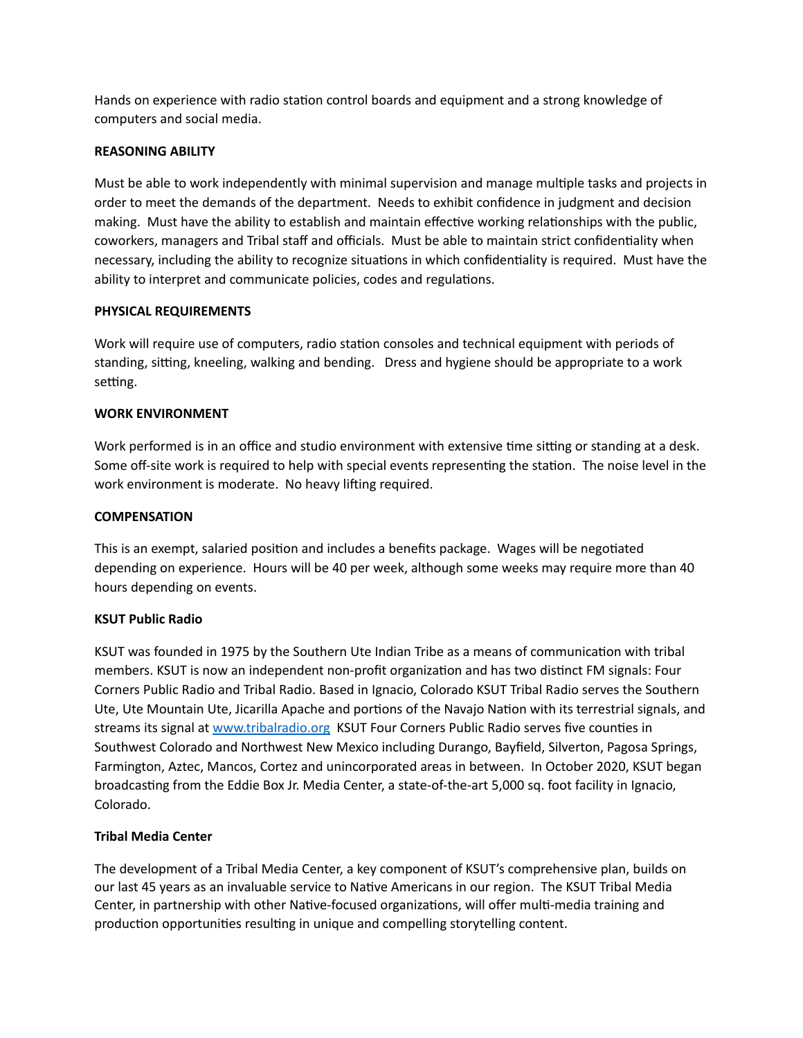Hands on experience with radio station control boards and equipment and a strong knowledge of computers and social media.

## **REASONING ABILITY**

Must be able to work independently with minimal supervision and manage multiple tasks and projects in order to meet the demands of the department. Needs to exhibit confidence in judgment and decision making. Must have the ability to establish and maintain effective working relationships with the public, coworkers, managers and Tribal staff and officials. Must be able to maintain strict confidentiality when necessary, including the ability to recognize situations in which confidentiality is required. Must have the ability to interpret and communicate policies, codes and regulations.

## **PHYSICAL REQUIREMENTS**

Work will require use of computers, radio station consoles and technical equipment with periods of standing, sitting, kneeling, walking and bending. Dress and hygiene should be appropriate to a work setting.

#### **WORK ENVIRONMENT**

Work performed is in an office and studio environment with extensive time sitting or standing at a desk. Some off-site work is required to help with special events representing the station. The noise level in the work environment is moderate. No heavy lifting required.

### **COMPENSATION**

This is an exempt, salaried position and includes a benefits package. Wages will be negotiated depending on experience. Hours will be 40 per week, although some weeks may require more than 40 hours depending on events.

## **KSUT Public Radio**

KSUT was founded in 1975 by the Southern Ute Indian Tribe as a means of communication with tribal members. KSUT is now an independent non-profit organization and has two distinct FM signals: Four Corners Public Radio and Tribal Radio. Based in Ignacio, Colorado KSUT Tribal Radio serves the Southern Ute, Ute Mountain Ute, Jicarilla Apache and portions of the Navajo Nation with its terrestrial signals, and streams its signal at [www.tribalradio.org](http://www.tribalradio.org) KSUT Four Corners Public Radio serves five counties in Southwest Colorado and Northwest New Mexico including Durango, Bayfield, Silverton, Pagosa Springs, Farmington, Aztec, Mancos, Cortez and unincorporated areas in between. In October 2020, KSUT began broadcasting from the Eddie Box Jr. Media Center, a state-of-the-art 5,000 sq. foot facility in Ignacio, Colorado.

## **Tribal Media Center**

The development of a Tribal Media Center, a key component of KSUT's comprehensive plan, builds on our last 45 years as an invaluable service to Native Americans in our region. The KSUT Tribal Media Center, in partnership with other Native-focused organizations, will offer multi-media training and production opportunities resulting in unique and compelling storytelling content.